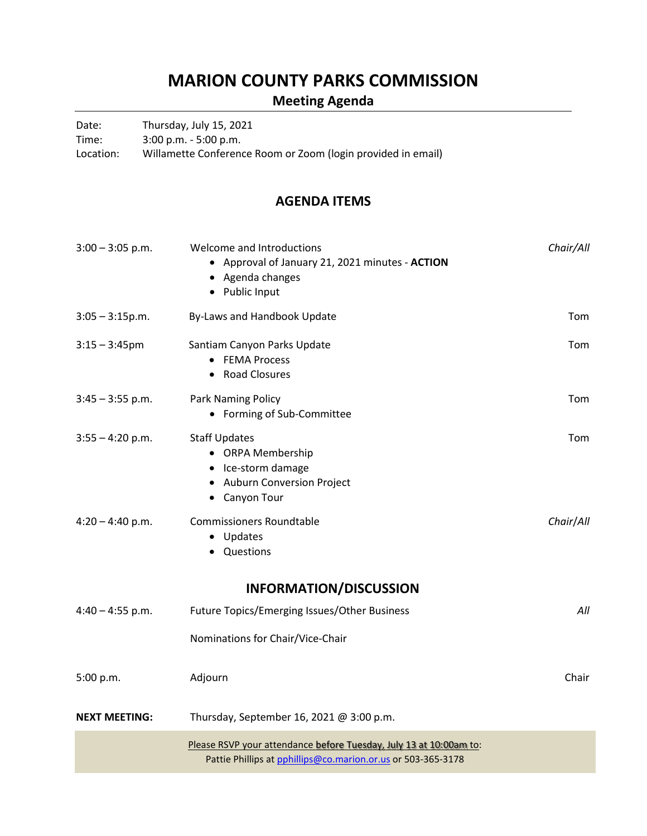### **MARION COUNTY PARKS COMMISSION**

### **Meeting Agenda**

Date: Thursday, July 15, 2021

Time: 3:00 p.m. - 5:00 p.m.

Location: Willamette Conference Room or Zoom (login provided in email)

#### **AGENDA ITEMS**

| $3:00 - 3:05$ p.m.   | Welcome and Introductions<br>• Approval of January 21, 2021 minutes - ACTION<br>• Agenda changes<br>• Public Input                 | Chair/All |
|----------------------|------------------------------------------------------------------------------------------------------------------------------------|-----------|
| $3:05 - 3:15p.m.$    | By-Laws and Handbook Update                                                                                                        | Tom       |
| $3:15 - 3:45$ pm     | Santiam Canyon Parks Update<br>• FEMA Process<br><b>Road Closures</b><br>$\bullet$                                                 | Tom       |
| $3:45 - 3:55$ p.m.   | Park Naming Policy<br>• Forming of Sub-Committee                                                                                   | Tom       |
| $3:55 - 4:20$ p.m.   | <b>Staff Updates</b><br>• ORPA Membership<br>• Ice-storm damage<br>• Auburn Conversion Project<br>• Canyon Tour                    | Tom       |
| $4:20 - 4:40$ p.m.   | <b>Commissioners Roundtable</b><br>• Updates<br>Questions                                                                          | Chair/All |
|                      | <b>INFORMATION/DISCUSSION</b>                                                                                                      |           |
| $4:40 - 4:55$ p.m.   | Future Topics/Emerging Issues/Other Business                                                                                       | All       |
|                      | Nominations for Chair/Vice-Chair                                                                                                   |           |
| 5:00 p.m.            | Adjourn                                                                                                                            | Chair     |
| <b>NEXT MEETING:</b> | Thursday, September 16, 2021 @ 3:00 p.m.                                                                                           |           |
|                      | Please RSVP your attendance before Tuesday, July 13 at 10:00am to:<br>Pattie Phillips at pphillips@co.marion.or.us or 503-365-3178 |           |